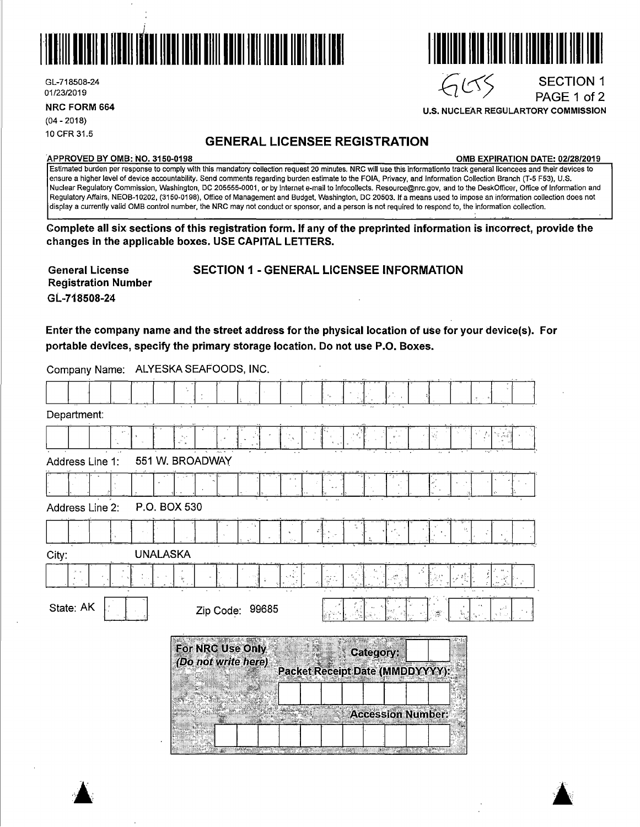

GL-718508-24<br>01/23/2019 GL-718508-24 SECTION 1<br>01/23/2019 PAGE 1 of 2

**NRC FORM 664** 

(04 - 2018) 10 CFR 31.5

# **GENERAL LICENSEE REGISTRATION**

**APPROVED BY 0MB: NO. 3150-0198 0MB EXPIRATION DATE: 02/28/2019** 

PAGE 1 of 2

 $\blacktriangle$  .  $\blacktriangle$ 

Estimated burden per response to comply with this mandatory collection request 20 minutes. NRG will use this informationto track general licencees and their devices to ensure a higher level of device accountability. Send comments regarding burden estimate to the FOIA, Privacy, and Information Collection Branch (T-5 F53), U.S. Nuclear Regulatory Commission, Washington, DC 205555-0001, or by internet e-mail to lnfocollects. Resource@nrc.gov, and to the DeskOfficer, Office of Information and Regulatory Affairs, NEOB-10202, (3150-0198), Office of Management and Budget, Washington, DC 20503. If a means used to impose an information collection does not display a currently valid 0MB control number, the NRC may not conduct or sponsor, and a person is not required to respond to, the information collection.

**Complete all six sections of this registration form. If any of the preprinted information is incorrect, provide the changes in the applicable boxes. USE CAPITAL LETTERS.** 

**General License Registration Number GL-718508-24**  SECTION 1 - GENERAL LICENSEE INFORMATION

**Enter the company name and the street address for the physical location of use for your device(s). For portable devices, specify the primary storage location. Do not use P.O. Boxes.** 

Company Name: ALYESKASEAFOODS, **INC.** 

|                                 |                                         |                       |                                                     | ٠ř.                         |
|---------------------------------|-----------------------------------------|-----------------------|-----------------------------------------------------|-----------------------------|
| Department:                     |                                         |                       |                                                     |                             |
|                                 | √°,                                     |                       |                                                     | Q,<br>¥,<br>$\frac{2}{\pi}$ |
| Address Line 1:                 | 551 W. BROADWAY                         |                       |                                                     | $\mathbf{1}$                |
|                                 |                                         |                       |                                                     |                             |
| P.O. BOX 530<br>Address Line 2: |                                         |                       |                                                     |                             |
|                                 |                                         | ¢                     |                                                     | $\Omega_{\rm g}$            |
| <b>UNALASKA</b><br>City:        |                                         |                       |                                                     |                             |
| $N=2$                           | $\frac{1}{3}$                           | ្នាំ                  |                                                     |                             |
| State: AK                       | Zip Code: 99685                         |                       |                                                     | تميز<br>X<br>ř,<br>se truct |
|                                 | For NRC Use Only<br>(Do not write here) | SI.                   | <b>Category:</b><br>Packet Receipt Date (MMDDYYYY): |                             |
|                                 |                                         |                       |                                                     |                             |
|                                 |                                         |                       | <b>Accession Number:</b>                            |                             |
|                                 |                                         |                       |                                                     |                             |
|                                 | Æ.                                      | <b>PORT CONSTRUCT</b> | <b>ARTICLE IN THE TABLE OF THE PARTIES</b><br>W.    |                             |





**U.S. NUCLEAR REGULARTORY COMMISSION**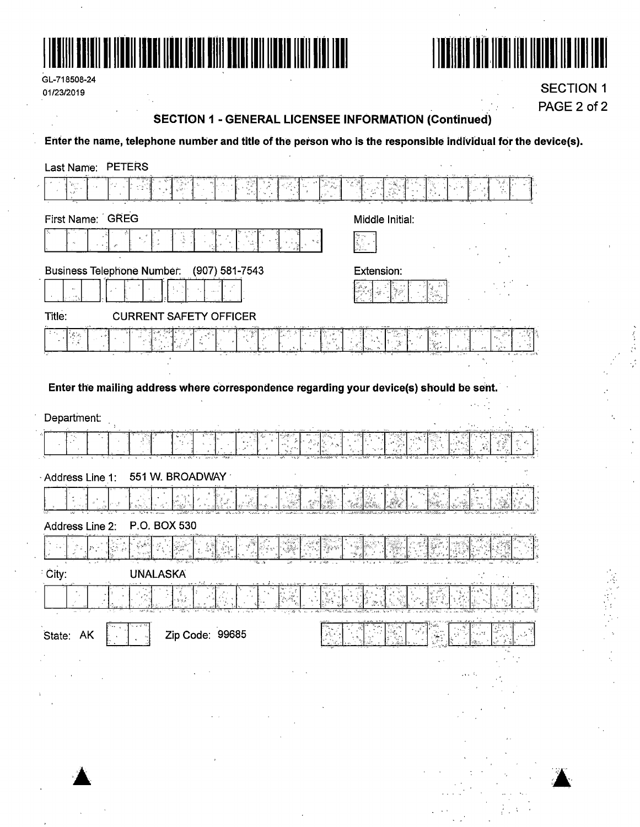

GL-718508-24 01/23/2019



**SECTION 1** PAGE 2 of 2

# **SECTION 1 - GENERAL LICENSEE INFORMATION (Continued)**

Enter the name, telephone number and title of the person who is the responsible individual for the device(s).

| Last Name: PETERS                                                                                                |                                          |
|------------------------------------------------------------------------------------------------------------------|------------------------------------------|
| $\begin{bmatrix} \mathbf{p}_{\mathcal{A}} \\ \mathbf{p}_{\mathcal{A}} \\ \mathbf{p}_{\mathcal{A}} \end{bmatrix}$ |                                          |
| First Name: GREG                                                                                                 | Middle Initial:                          |
|                                                                                                                  |                                          |
| <b>Business Telephone Number:</b><br>(907) 581-7543                                                              | Extension:                               |
|                                                                                                                  |                                          |
| Title:<br><b>CURRENT SAFETY OFFICER</b>                                                                          |                                          |
| 希光                                                                                                               | ٠ŗ.                                      |
|                                                                                                                  |                                          |
| Enter the mailing address where correspondence regarding your device(s) should be sent.                          |                                          |
| Department:                                                                                                      |                                          |
|                                                                                                                  |                                          |
| 551 W. BROADWAY                                                                                                  |                                          |
| Address Line 1:                                                                                                  |                                          |
|                                                                                                                  |                                          |
| P.O. BOX 530<br>Address Line 2:                                                                                  |                                          |
|                                                                                                                  |                                          |
| City:<br><b>UNALASKA</b>                                                                                         |                                          |
|                                                                                                                  |                                          |
| कॉटिक के प्राप्त करने<br>ारूस<br>Zip Code: 99685<br>State: AK                                                    | रने ल<br>An Sing<br>Τv<br>ヨケ ちょ<br>十分ないの |
|                                                                                                                  |                                          |
|                                                                                                                  | بالتبن                                   |
|                                                                                                                  |                                          |
|                                                                                                                  |                                          |
|                                                                                                                  |                                          |
| $\mathbf{r}$                                                                                                     |                                          |
|                                                                                                                  |                                          |
|                                                                                                                  |                                          |
|                                                                                                                  |                                          |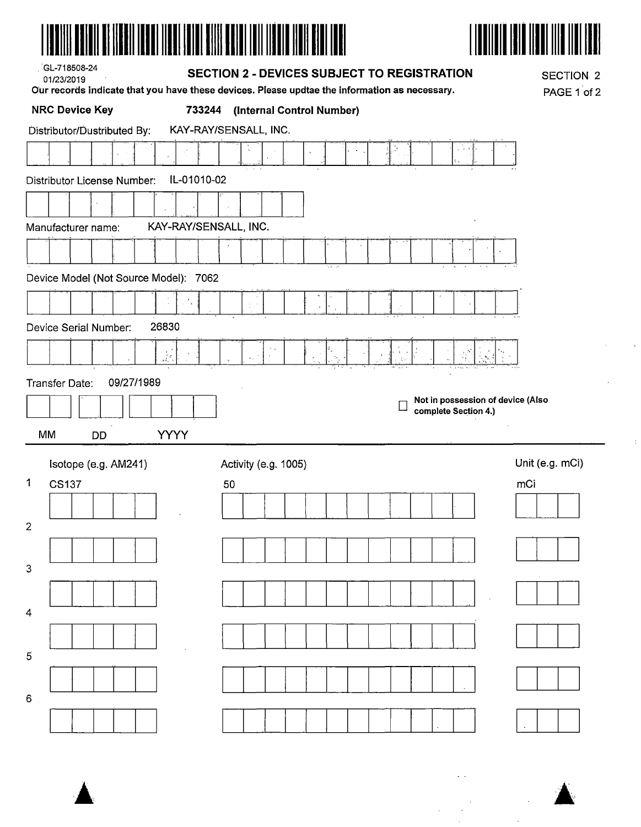



| , GL-718508-24<br>01/23/2019               | <b>SECTION 2 - DEVICES SUBJECT TO REGISTRATION</b><br>Our records indicate that you have these devices. Please updtae the information as necessary. |                 |  |  |  |  |  |
|--------------------------------------------|-----------------------------------------------------------------------------------------------------------------------------------------------------|-----------------|--|--|--|--|--|
| <b>NRC Device Key</b>                      | 733244<br>(Internal Control Number)                                                                                                                 |                 |  |  |  |  |  |
| Distributor/Dustributed By:                | KAY-RAY/SENSALL, INC.                                                                                                                               |                 |  |  |  |  |  |
|                                            |                                                                                                                                                     |                 |  |  |  |  |  |
| IL-01010-02<br>Distributor License Number: |                                                                                                                                                     |                 |  |  |  |  |  |
|                                            |                                                                                                                                                     |                 |  |  |  |  |  |
| Manufacturer name:                         | KAY-RAY/SENSALL, INC.                                                                                                                               |                 |  |  |  |  |  |
|                                            |                                                                                                                                                     |                 |  |  |  |  |  |
|                                            | マネーマ                                                                                                                                                |                 |  |  |  |  |  |
| Dévice Model (Not Source Model): 7062      |                                                                                                                                                     |                 |  |  |  |  |  |
|                                            |                                                                                                                                                     |                 |  |  |  |  |  |
| 26830<br>Device Serial Number:             |                                                                                                                                                     |                 |  |  |  |  |  |
| $\frac{1}{2} \sum_{i=1}^n \frac{1}{2}$     | , 8<br>$\downarrow$<br>$\chi_{\rm g}^{-1}$                                                                                                          |                 |  |  |  |  |  |
| 09/27/1989<br>Transfer Date:               |                                                                                                                                                     |                 |  |  |  |  |  |
|                                            | Not in possession of device (Also<br>complete Section 4.)                                                                                           |                 |  |  |  |  |  |
| MM<br><b>YYYY</b><br>DD                    |                                                                                                                                                     |                 |  |  |  |  |  |
|                                            |                                                                                                                                                     | Unit (e.g. mCi) |  |  |  |  |  |
| Isotope (e.g. AM241)<br>1<br><b>CS137</b>  | Activity (e.g. 1005)<br>50                                                                                                                          | mCi             |  |  |  |  |  |
|                                            |                                                                                                                                                     |                 |  |  |  |  |  |
| $\overline{2}$                             |                                                                                                                                                     |                 |  |  |  |  |  |
|                                            |                                                                                                                                                     |                 |  |  |  |  |  |
| $\mathbf{3}$                               |                                                                                                                                                     |                 |  |  |  |  |  |
|                                            |                                                                                                                                                     |                 |  |  |  |  |  |
| 4                                          |                                                                                                                                                     |                 |  |  |  |  |  |
|                                            |                                                                                                                                                     |                 |  |  |  |  |  |
| 5                                          |                                                                                                                                                     |                 |  |  |  |  |  |
|                                            |                                                                                                                                                     |                 |  |  |  |  |  |
| 6                                          |                                                                                                                                                     |                 |  |  |  |  |  |
|                                            |                                                                                                                                                     |                 |  |  |  |  |  |



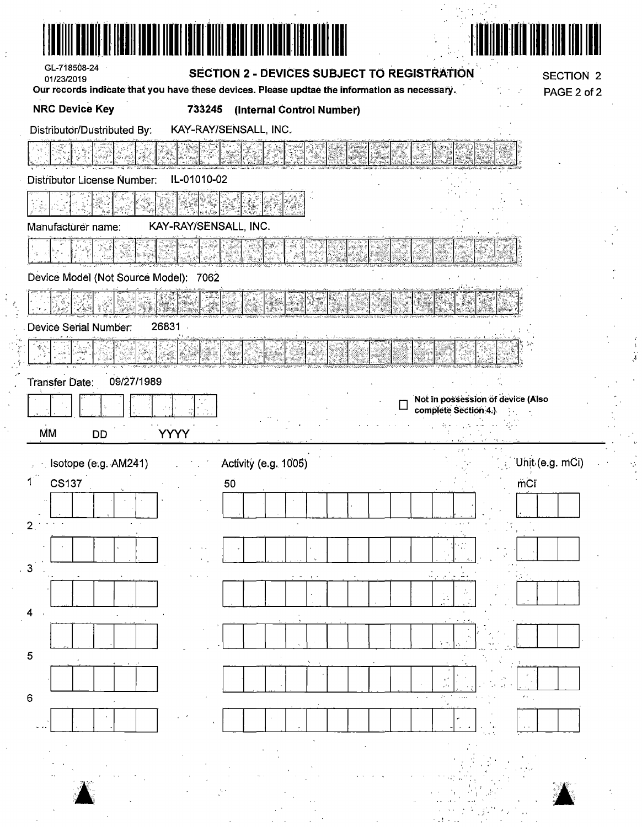| TI TIZDII IDDUI IIDDI IDIDI DIITI DUIDI IDIDIDII                                                                                                              |                                                           |
|---------------------------------------------------------------------------------------------------------------------------------------------------------------|-----------------------------------------------------------|
| GL-718508-24<br>SECTION 2 - DEVICES SUBJECT TO REGISTRATION<br>01/23/2019                                                                                     | <b>SECTION 2</b>                                          |
| Our records indicate that you have these devices. Please updtae the information as necessary.<br><b>NRC Device Key</b><br>733245<br>(Internal Control Number) | PAGE 2 of 2                                               |
| KAY-RAY/SENSALL, INC.<br>Distributor/Dustributed By:                                                                                                          |                                                           |
|                                                                                                                                                               |                                                           |
| IL-01010-02<br>Distributor License Number:                                                                                                                    |                                                           |
|                                                                                                                                                               |                                                           |
| KAY-RAY/SENSALL, INC.<br>Manufacturer name:                                                                                                                   |                                                           |
|                                                                                                                                                               |                                                           |
| Device Model (Not Source Model): 7062                                                                                                                         |                                                           |
|                                                                                                                                                               |                                                           |
| 26831<br>Device Serial Number:                                                                                                                                |                                                           |
|                                                                                                                                                               |                                                           |
| 09/27/1989<br><b>Transfer Date:</b>                                                                                                                           |                                                           |
|                                                                                                                                                               | Not in possession of device (Also<br>complete Section 4.) |
| <b>MM</b><br>YYYY<br><b>DD</b>                                                                                                                                |                                                           |
| Activity (e.g. 1005)<br>Isotope (e.g. AM241)                                                                                                                  | Unit (e.g. mCi)                                           |
| $\mathbf{1}^{\prime}$<br><b>CS137</b><br>50                                                                                                                   | mCi                                                       |
| 2 <sub>1</sub>                                                                                                                                                |                                                           |
|                                                                                                                                                               |                                                           |
| 3                                                                                                                                                             |                                                           |
|                                                                                                                                                               |                                                           |
| 4                                                                                                                                                             |                                                           |
|                                                                                                                                                               |                                                           |
| $\mathbf 5$                                                                                                                                                   |                                                           |
|                                                                                                                                                               |                                                           |
| $\mathbf 6$                                                                                                                                                   |                                                           |
|                                                                                                                                                               |                                                           |
|                                                                                                                                                               |                                                           |
|                                                                                                                                                               |                                                           |
|                                                                                                                                                               |                                                           |
|                                                                                                                                                               |                                                           |

 $\gamma_{\rm{eq},\parallel} \rightarrow \gamma_{\rm{e}}$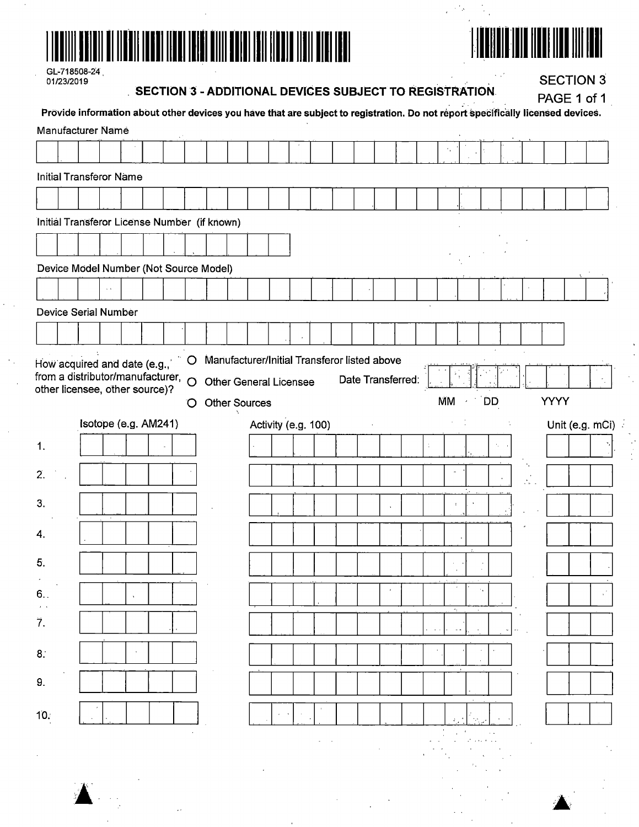



 $\frac{1}{2}$  .

 $\mathcal{F}_{\mathcal{N}}$ J.

GL-718508-24<br>01/23/2019

 $\ddot{\phantom{a}}$ 

**SECTION 3 - ADDITIONAL DEVICES SUBJECT TO REGISTRATION** 

**SECTION 3** 

|      |                                                                            |                      |  |   | Provide information about other devices you have that are subject to registration. Do not report specifically licensed devices. |  |  | ב הראו הר           | $\tilde{ }$ |                   |   | ,,,,,         |                   |    |      | PAGE 1 of 1     |  |
|------|----------------------------------------------------------------------------|----------------------|--|---|---------------------------------------------------------------------------------------------------------------------------------|--|--|---------------------|-------------|-------------------|---|---------------|-------------------|----|------|-----------------|--|
|      | <b>Manufacturer Name</b>                                                   |                      |  |   |                                                                                                                                 |  |  |                     |             |                   |   |               |                   |    |      |                 |  |
|      |                                                                            |                      |  |   |                                                                                                                                 |  |  |                     |             |                   |   |               |                   |    |      |                 |  |
|      | <b>Initial Transferor Name</b>                                             |                      |  |   |                                                                                                                                 |  |  |                     |             |                   |   |               |                   |    |      |                 |  |
|      |                                                                            |                      |  |   |                                                                                                                                 |  |  |                     |             |                   |   |               |                   |    |      |                 |  |
|      |                                                                            |                      |  |   | Initial Transferor License Number (if known)                                                                                    |  |  |                     |             |                   |   |               |                   |    |      |                 |  |
|      |                                                                            |                      |  |   |                                                                                                                                 |  |  |                     |             |                   |   |               |                   |    |      |                 |  |
|      |                                                                            |                      |  |   | Device Model Number (Not Source Model)                                                                                          |  |  |                     |             |                   |   |               |                   |    |      |                 |  |
|      |                                                                            |                      |  |   |                                                                                                                                 |  |  |                     |             |                   |   |               |                   |    |      |                 |  |
|      | Device Serial Number                                                       |                      |  |   |                                                                                                                                 |  |  |                     |             |                   |   |               |                   |    |      |                 |  |
|      |                                                                            |                      |  |   |                                                                                                                                 |  |  |                     |             |                   |   |               |                   |    |      |                 |  |
|      | How acquired and date (e.g.,                                               |                      |  | O | Manufacturer/Initial Transferor listed above                                                                                    |  |  |                     |             |                   |   |               |                   |    |      |                 |  |
|      | from a distributor/manufacturer, $\circ$<br>other licensee, other source)? |                      |  |   | <b>Other General Licensee</b>                                                                                                   |  |  |                     |             | Date Transferred: |   |               |                   |    |      |                 |  |
|      |                                                                            |                      |  | Ő | <b>Other Sources</b>                                                                                                            |  |  |                     |             |                   |   | <b>MM</b>     | <b>DD</b>         |    | YYYY |                 |  |
|      |                                                                            | Isotope (e.g. AM241) |  |   |                                                                                                                                 |  |  | Activity (e.g. 100) |             |                   |   |               |                   |    |      | Unit (e.g. mCi) |  |
| 1.   |                                                                            |                      |  |   |                                                                                                                                 |  |  |                     |             |                   | ÷ |               |                   | γ. |      |                 |  |
| 2.   |                                                                            |                      |  |   |                                                                                                                                 |  |  |                     |             |                   |   |               |                   |    |      |                 |  |
| 3.   |                                                                            |                      |  |   |                                                                                                                                 |  |  |                     |             |                   |   | $\cdot$       |                   |    |      |                 |  |
| 4.   |                                                                            |                      |  |   |                                                                                                                                 |  |  |                     |             |                   |   |               |                   |    |      |                 |  |
|      |                                                                            |                      |  |   |                                                                                                                                 |  |  |                     |             |                   |   |               |                   |    |      |                 |  |
| 5.   |                                                                            |                      |  |   |                                                                                                                                 |  |  |                     |             |                   |   |               |                   |    |      |                 |  |
| 6.   |                                                                            |                      |  |   |                                                                                                                                 |  |  |                     |             |                   |   | $\star$ .     |                   |    |      |                 |  |
| 7.   |                                                                            |                      |  |   |                                                                                                                                 |  |  |                     |             |                   |   | $\sim$ $\sim$ |                   |    |      |                 |  |
| 8.   |                                                                            |                      |  |   |                                                                                                                                 |  |  |                     |             |                   |   |               |                   |    |      |                 |  |
|      |                                                                            |                      |  |   |                                                                                                                                 |  |  |                     |             |                   |   |               |                   |    |      |                 |  |
| 9.   |                                                                            |                      |  |   |                                                                                                                                 |  |  |                     |             |                   |   |               |                   |    |      |                 |  |
| 10.5 |                                                                            |                      |  |   |                                                                                                                                 |  |  |                     |             |                   |   |               |                   |    |      |                 |  |
|      |                                                                            |                      |  |   |                                                                                                                                 |  |  |                     |             |                   |   |               | المتعارف المعارضة |    |      |                 |  |
|      |                                                                            |                      |  |   |                                                                                                                                 |  |  |                     |             |                   |   |               |                   |    |      |                 |  |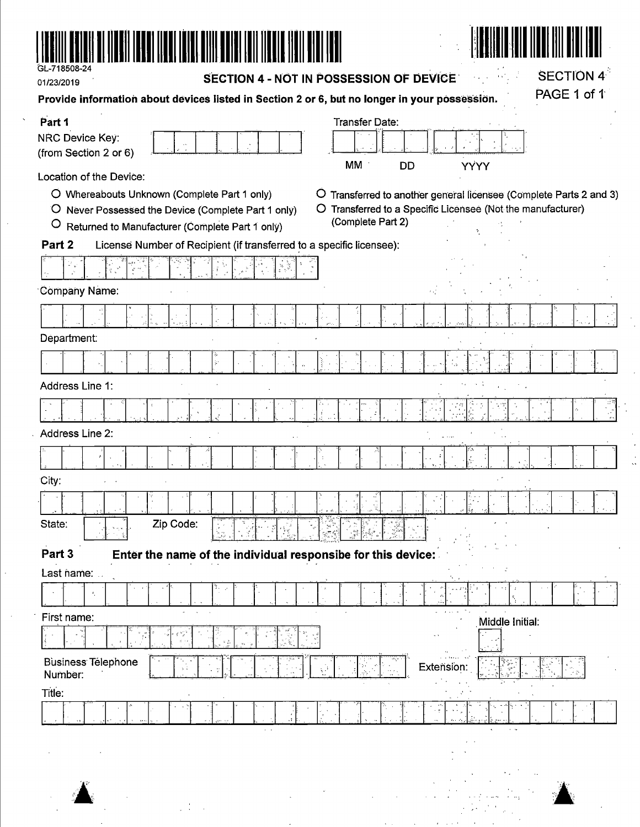

01/23/2019

SECTION 4 - NOT IN POSSESSION OF DEVICE

 $\ddot{\phantom{a}}$  $\hat{\mathcal{A}}$  $\frac{1}{2}$  **SECTION 4<sup>5</sup>** 

 $\mathcal{A}$ 

| 017202013<br>Provide information about devices listed in Section 2 or 6, but no longer in your possession.                                                                                   | PAGE 1 of 1                                                                                                                                            |
|----------------------------------------------------------------------------------------------------------------------------------------------------------------------------------------------|--------------------------------------------------------------------------------------------------------------------------------------------------------|
| Part 1<br>NRC Device Key:<br>(from Section 2 or 6)                                                                                                                                           | <b>Transfer Date:</b><br>MM<br>DD<br>YYYY                                                                                                              |
| Location of the Device:<br>O Whereabouts Unknown (Complete Part 1 only)<br>O Never Possessed the Device (Complete Part 1 only)<br>$\circ$<br>Returned to Manufacturer (Complete Part 1 only) | O Transferred to another general licensee (Complete Parts 2 and 3)<br>O Transferred to a Specific Licensee (Not the manufacturer)<br>(Complete Part 2) |
| Part 2<br>License Number of Recipient (if transferred to a specific licensee):                                                                                                               |                                                                                                                                                        |
|                                                                                                                                                                                              |                                                                                                                                                        |
| <b>Company Name:</b>                                                                                                                                                                         |                                                                                                                                                        |
|                                                                                                                                                                                              |                                                                                                                                                        |
| Department:                                                                                                                                                                                  |                                                                                                                                                        |
| ģ.                                                                                                                                                                                           |                                                                                                                                                        |
| Address Line 1:                                                                                                                                                                              |                                                                                                                                                        |
|                                                                                                                                                                                              |                                                                                                                                                        |
| Address Line 2:                                                                                                                                                                              |                                                                                                                                                        |
| $\cdot$                                                                                                                                                                                      |                                                                                                                                                        |
| City:                                                                                                                                                                                        |                                                                                                                                                        |
|                                                                                                                                                                                              |                                                                                                                                                        |
| Zip Code:<br>State:                                                                                                                                                                          |                                                                                                                                                        |
| Part 3<br>Enter the name of the individual responsibe for this device:                                                                                                                       |                                                                                                                                                        |
| Last name:                                                                                                                                                                                   | $\epsilon = \epsilon - \frac{1}{2}$                                                                                                                    |
| $\epsilon_{\rm{c}}$                                                                                                                                                                          | $\mathcal{L}_{\mathcal{A}}$                                                                                                                            |
| First name:                                                                                                                                                                                  | Middle Initial:                                                                                                                                        |
|                                                                                                                                                                                              |                                                                                                                                                        |
| <b>Business Telephone</b><br>Number:                                                                                                                                                         | Extension:                                                                                                                                             |
| Title:<br>$\sim$ $\sim$                                                                                                                                                                      | ×,<br>$\sim$ $\sim$                                                                                                                                    |
|                                                                                                                                                                                              |                                                                                                                                                        |
| '¥                                                                                                                                                                                           | ki gir<br>$\sim 100$ km $^{-1}$                                                                                                                        |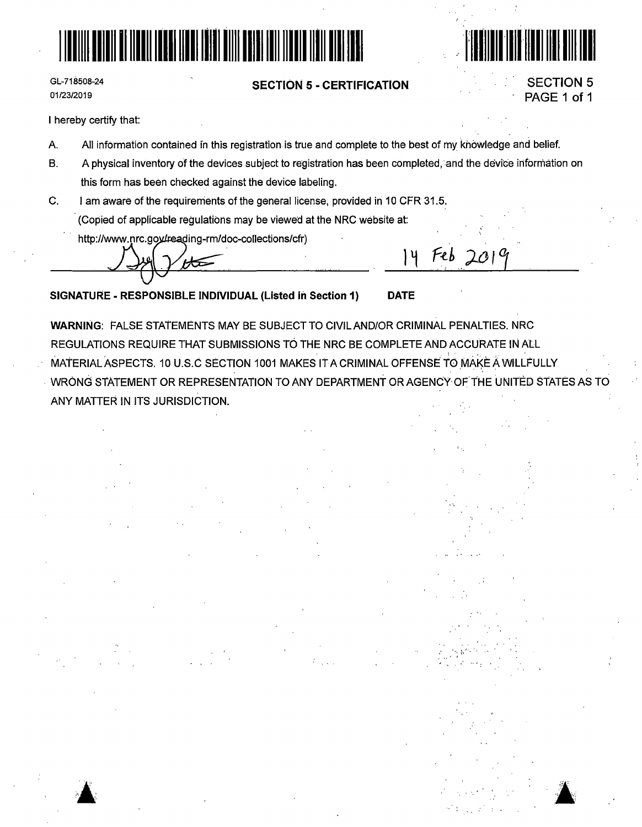

GL-718508-24 01/23/2019

## **SECTION 5 - CERTIFICATION**



Feb  $201<sup>o</sup>$ 

 $14$ 

**SECTION 5** PAGE 1 of 1

I hereby certify that:

- A. All information contained in this registration is true and complete to the best of my knowledge and belief.
- $B<sub>1</sub>$ A physical inventory of the devices subject to registration has been completed, and the device information on this form has been checked against the device labeling.
- C. I am aware of the requirements of the general license, provided in 10 CFR 31.5. (Copied of applicable regulations may be viewed at the NRC website at:
	- http://www.nrc.gov/reading-rm/doc-collections/cfr)

⇐

SIGNATURE - RESPONSIBLE INDIVIDUAL (Listed in Section 1) **DATE** 

**WARNING: FALSE STATEMENTS MAY BE SUBJECT TO CIVIL AND/OR CRIMINAL PENALTIES, NRC** REGULATIONS REQUIRE THAT SUBMISSIONS TO THE NRC BE COMPLETE AND ACCURATE IN ALL MATERIAL ASPECTS. 10 U.S.C SECTION 1001 MAKES IT A CRIMINAL OFFENSE TO MAKE A WILLFULLY WRONG STATEMENT OR REPRESENTATION TO ANY DEPARTMENT OR AGENCY OF THE UNITED STATES AS TO ANY MATTER IN ITS JURISDICTION.